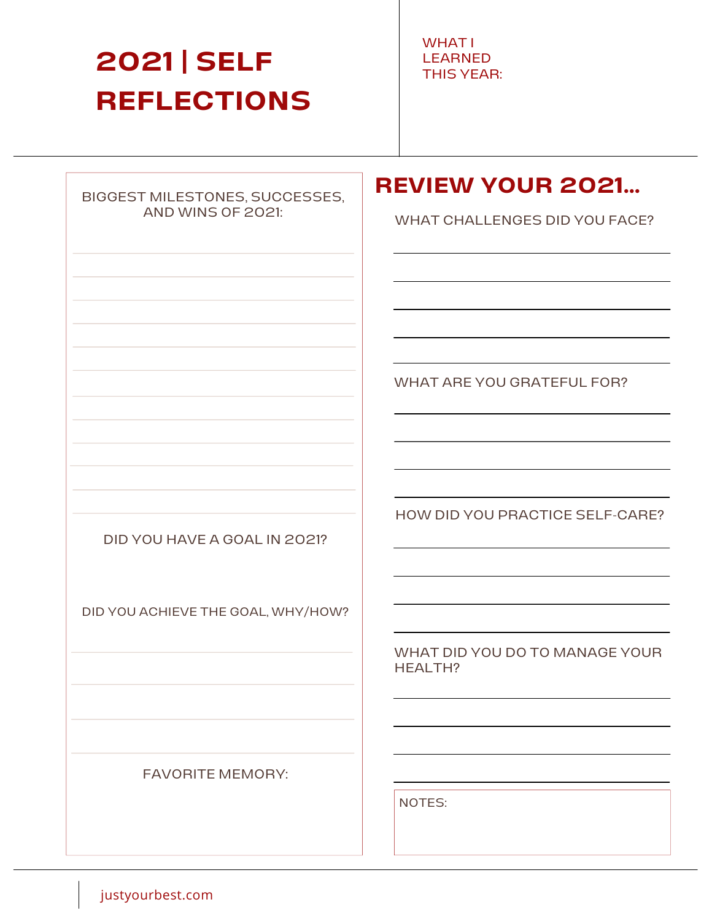# **2021 | SELF REFLECTIONS**

WHAT I LEARNED THIS YEAR:

#### BIGGEST MILESTONES, SUCCESSES, AND WINS OF 2021:

### **REVIEW YOUR 2021...**

WHAT CHALLENGES DID YOU FACE?

WHAT ARE YOU GRATEFUL FOR?

DID YOU HAVE A GOAL IN 2021?

DID YOU ACHIEVE THE GOAL, WHY/HOW?

HOW DID YOU PRACTICE SELF-CARE?

WHAT DID YOU DO TO MANAGE YOUR HEALTH?

FAVORITE MEMORY:

NOTES:

justyourbest.com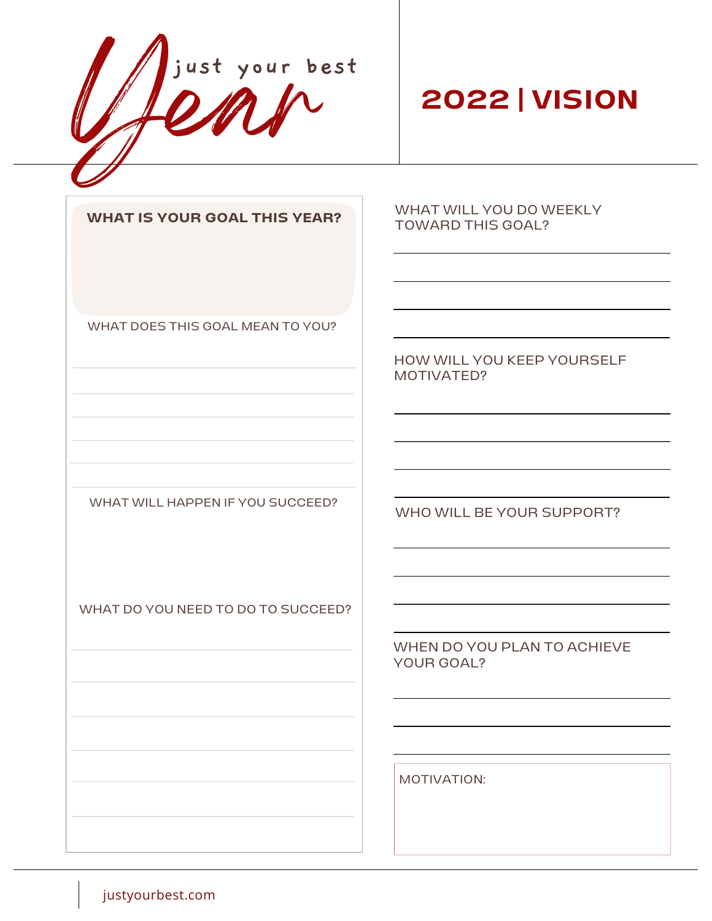year **just your best**

## **2022 | VISION**

**WHAT IS YOUR GOAL THIS YEAR?**

WHAT DOES THIS GOAL MEAN TO YOU?

WHAT WILL HAPPEN IF YOU SUCCEED?

WHAT DO YOU NEED TO DO TO SUCCEED?

WHAT WILL YOU DO WEEKLY TOWARD THIS GOAL?

HOW WILL YOU KEEP YOURSELF MOTIVATED?

WHO WILL BE YOUR SUPPORT?

WHEN DO YOU PLAN TO ACHIEVE YOUR GOAL?

MOTIVATION:

justyourbest.com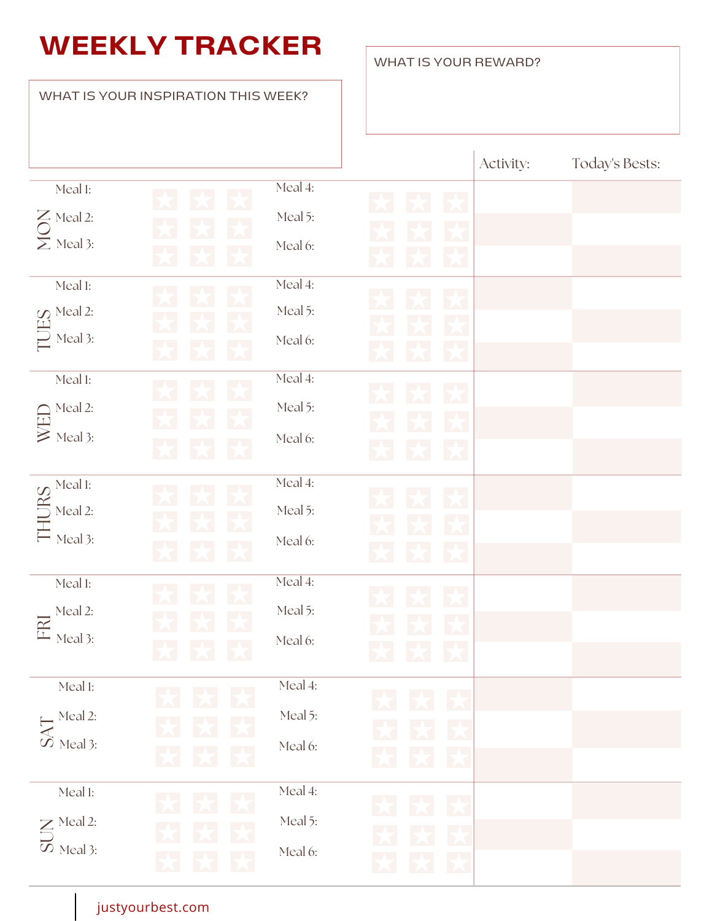## **WEEKLY TRACKER**

#### Meal 1:  $\sum$  Meal 2:  $\sum$  Meal 3: Meal 4: Meal 5: Meal 6: Activity:  $\bigcirc$  $\longmapsto$  $\supseteq$  Me  $\blacksquare$  $\mathcal{Q}$  Meal 2: Meal 1: Meal 3: Meal 4: Meal 5: Meal 6: Meal 1: Meal 2:  $\geq$  Meal 3: Meal 4: Meal 5: Meal 6:  $\Box$  $\bigcap_{\alpha\in\mathbb{N}}\mathbb{N}$ e Meal 1: Meal 2: Meal 3: Meal 4: Meal 5:  $\longleftarrow$ Meal 6:  $\mathbb{I}$  $\Box$ RSMeal 1: Meal 2:  $\Box$  Meal 3: Meal 4: Meal 5: Meal 6:  $\Xi$ Meal 1: Meal 2:  $\omega$  Meal 3: Meal 4: Meal 5: Meal 6:  $\prec$  $\leftarrow$  T Meal 1:  $\mathsf{\Sigma}$  Meal 2:  $\omega$  Meal 3: Meal 4: Meal 5: Meal 6:  $\Box$ Today's Bests: WHAT IS YOUR INSPIRATION THIS WEEK?

WHAT IS YOUR REWARD?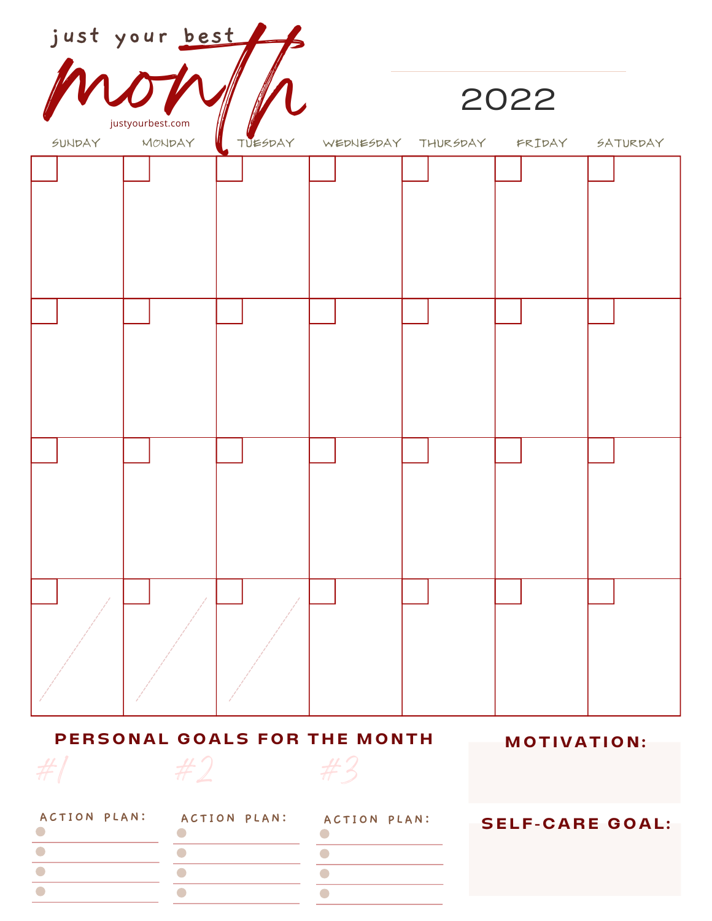| just your best                           |                                   |  |                                   |  |                        |          |
|------------------------------------------|-----------------------------------|--|-----------------------------------|--|------------------------|----------|
|                                          |                                   |  | 2022                              |  |                        |          |
|                                          | justyourbest.com<br>SUNDAY MONDAY |  | TUESDAY WEDNESDAY THURSDAY FRIDAY |  |                        | SATURDAY |
|                                          |                                   |  |                                   |  |                        |          |
|                                          |                                   |  |                                   |  |                        |          |
|                                          |                                   |  |                                   |  |                        |          |
|                                          |                                   |  |                                   |  |                        |          |
|                                          |                                   |  |                                   |  |                        |          |
|                                          |                                   |  |                                   |  |                        |          |
|                                          |                                   |  |                                   |  |                        |          |
|                                          |                                   |  |                                   |  |                        |          |
|                                          |                                   |  |                                   |  |                        |          |
|                                          |                                   |  |                                   |  |                        |          |
|                                          |                                   |  |                                   |  |                        |          |
|                                          |                                   |  |                                   |  |                        |          |
|                                          |                                   |  |                                   |  |                        |          |
|                                          |                                   |  |                                   |  |                        |          |
|                                          |                                   |  |                                   |  |                        |          |
|                                          |                                   |  |                                   |  |                        |          |
|                                          |                                   |  |                                   |  |                        |          |
|                                          |                                   |  |                                   |  |                        |          |
| PERSONAL GOALS FOR THE MONTH MOTIVATION: |                                   |  |                                   |  |                        |          |
| $#2$ $#3$<br>#                           |                                   |  |                                   |  |                        |          |
| ACTION PLAN: ACTION PLAN: ACTION PLAN:   |                                   |  |                                   |  | <b>SELF-CARE GOAL:</b> |          |
|                                          |                                   |  | $\bullet$                         |  |                        |          |
|                                          |                                   |  |                                   |  |                        |          |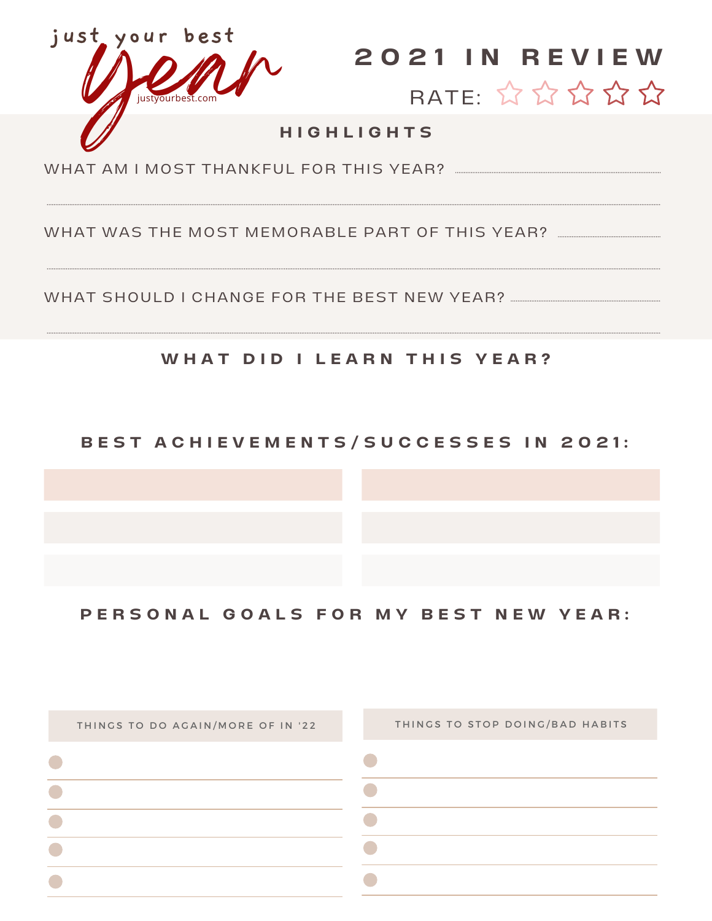



#### **H I G H L I G H T S**

WHAT AM I MOST THANKFUL FOR THIS YFAR?

WHAT WAS THE MOST MEMORABLE PART OF THIS YEAR?

WHAT SHOULD I CHANGE FOR THE BEST NEW YEAR?

#### **W H A T D I D I L E A R N T H I S Y E A R ?**

#### BEST ACHIEVEMENTS/SUCCESSES IN 2021:

PERSONAL GOALS FOR MY BEST NEW YEAR: